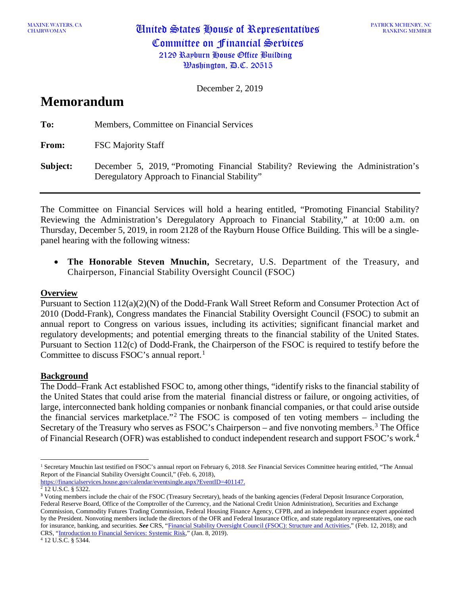MAXINE WATERS, CA **United States House of Representatives** Committee on Financial Services 2129 Rayburn House Office Building  $\mathcal{B}$ ashington,  $\mathcal{B}$ .C. 20515

PATRICK MCHENRY, NC RANKING MEMBER

December 2, 2019

# **Memorandum**

**To:** Members, Committee on Financial Services **From:** FSC Majority Staff **Subject:** December 5, 2019, "Promoting Financial Stability? Reviewing the Administration's Deregulatory Approach to Financial Stability"

The Committee on Financial Services will hold a hearing entitled, "Promoting Financial Stability? Reviewing the Administration's Deregulatory Approach to Financial Stability," at 10:00 a.m. on Thursday, December 5, 2019, in room 2128 of the Rayburn House Office Building. This will be a singlepanel hearing with the following witness:

• **The Honorable Steven Mnuchin,** Secretary, U.S. Department of the Treasury, and Chairperson, Financial Stability Oversight Council (FSOC)

### **Overview**

Pursuant to Section 112(a)(2)(N) of the Dodd-Frank Wall Street Reform and Consumer Protection Act of 2010 (Dodd-Frank), Congress mandates the Financial Stability Oversight Council (FSOC) to submit an annual report to Congress on various issues, including its activities; significant financial market and regulatory developments; and potential emerging threats to the financial stability of the United States. Pursuant to Section 112(c) of Dodd-Frank, the Chairperson of the FSOC is required to testify before the Committee to discuss FSOC's annual report. [1](#page-0-0)

### **Background**

The Dodd–Frank Act established FSOC to, among other things, "identify risks to the financial stability of the United States that could arise from the material financial distress or failure, or ongoing activities, of large, interconnected bank holding companies or nonbank financial companies, or that could arise outside the financial services marketplace."<sup>[2](#page-0-1)</sup> The FSOC is composed of ten voting members – including the Secretary of the Treasury who serves as  $FSOC's$  Chairperson – and five nonvoting members.<sup>[3](#page-0-2)</sup> The Office of Financial Research (OFR) was established to conduct independent research and support FSOC's work.[4](#page-0-3)

<span id="page-0-3"></span><sup>4</sup> 12 U.S.C. § 5344.

<span id="page-0-0"></span><sup>1</sup> Secretary Mnuchin last testified on FSOC's annual report on February 6, 2018. *See* Financial Services Committee hearing entitled, "The Annual Report of the Financial Stability Oversight Council," (Feb. 6, 2018),

[https://financialservices.house.gov/calendar/eventsingle.aspx?EventID=401147.](https://financialservices.house.gov/calendar/eventsingle.aspx?EventID=401147)

<span id="page-0-1"></span><sup>2</sup> 12 U.S.C. § 5322.

<span id="page-0-2"></span>**<sup>3</sup>** Voting members include the chair of the FSOC (Treasury Secretary), heads of the banking agencies (Federal Deposit Insurance Corporation, Federal Reserve Board, Office of the Comptroller of the Currency, and the National Credit Union Administration), Securities and Exchange Commission, Commodity Futures Trading Commission, Federal Housing Finance Agency, CFPB, and an independent insurance expert appointed by the President. Nonvoting members include the directors of the OFR and Federal Insurance Office, and state regulatory representatives, one each for insurance, banking, and securities. *See* CRS, ["Financial Stability Oversight Council \(FSOC\): Structure and Activities,](http://www.crs.gov/Reports/R45052)" (Feb. 12, 2018); and CRS, ["Introduction to Financial Services: Systemic Risk,"](http://www.crs.gov/Reports/IF10700) (Jan. 8, 2019).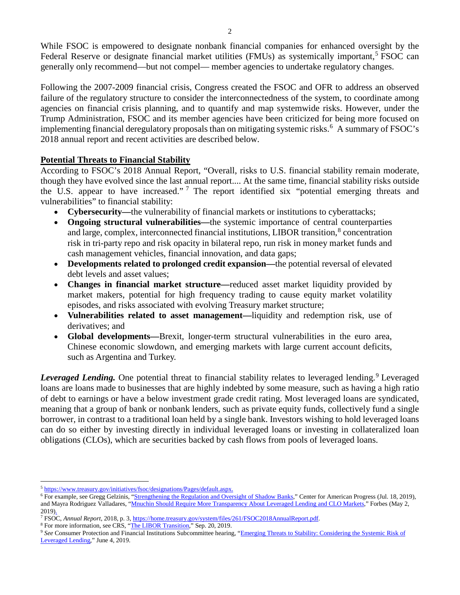While FSOC is empowered to designate nonbank financial companies for enhanced oversight by the Federal Reserve or designate financial market utilities (FMUs) as systemically important,<sup>[5](#page-1-0)</sup> FSOC can generally only recommend—but not compel— member agencies to undertake regulatory changes.

Following the 2007-2009 financial crisis, Congress created the FSOC and OFR to address an observed failure of the regulatory structure to consider the interconnectedness of the system, to coordinate among agencies on financial crisis planning, and to quantify and map systemwide risks. However, under the Trump Administration, FSOC and its member agencies have been criticized for being more focused on implementing financial deregulatory proposals than on mitigating systemic risks. [6](#page-1-1) A summary of FSOC's 2018 annual report and recent activities are described below.

## **Potential Threats to Financial Stability**

According to FSOC's 2018 Annual Report, "Overall, risks to U.S. financial stability remain moderate, though they have evolved since the last annual report.... At the same time, financial stability risks outside the U.S. appear to have increased."<sup>[7](#page-1-2)</sup> The report identified six "potential emerging threats and vulnerabilities" to financial stability:

- **Cybersecurity—**the vulnerability of financial markets or institutions to cyberattacks;
- **Ongoing structural vulnerabilities—**the systemic importance of central counterparties and large, complex, interconnected financial institutions, LIBOR transition,<sup>[8](#page-1-3)</sup> concentration risk in tri-party repo and risk opacity in bilateral repo, run risk in money market funds and cash management vehicles, financial innovation, and data gaps;
- **Developments related to prolonged credit expansion—**the potential reversal of elevated debt levels and asset values;
- **Changes in financial market structure—**reduced asset market liquidity provided by market makers, potential for high frequency trading to cause equity market volatility episodes, and risks associated with evolving Treasury market structure;
- **Vulnerabilities related to asset management—**liquidity and redemption risk, use of derivatives; and
- **Global developments—**Brexit, longer-term structural vulnerabilities in the euro area, Chinese economic slowdown, and emerging markets with large current account deficits, such as Argentina and Turkey.

*Leveraged Lending.* One potential threat to financial stability relates to leveraged lending.<sup>[9](#page-1-4)</sup> Leveraged loans are loans made to businesses that are highly indebted by some measure, such as having a high ratio of debt to earnings or have a below investment grade credit rating. Most leveraged loans are syndicated, meaning that a group of bank or nonbank lenders, such as private equity funds, collectively fund a single borrower, in contrast to a traditional loan held by a single bank. Investors wishing to hold leveraged loans can do so either by investing directly in individual leveraged loans or investing in collateralized loan obligations (CLOs), which are securities backed by cash flows from pools of leveraged loans.

<span id="page-1-0"></span><sup>5</sup> [https://www.treasury.gov/initiatives/fsoc/designations/Pages/default.aspx.](https://www.treasury.gov/initiatives/fsoc/designations/Pages/default.aspx)

<span id="page-1-1"></span><sup>&</sup>lt;sup>6</sup> For example, see Gregg Gelzinis, ["Strengthening the Regulation and Oversight of Shadow Banks,"](https://www.americanprogress.org/issues/economy/reports/2019/07/18/471564/strengthening-regulation-oversight-shadow-banks/) Center for American Progress (Jul. 18, 2019), and Mayra Rodriguez Valladares, ["Mnuchin Should Require More Transparency About Leveraged Lending and CLO Markets,"](https://www.forbes.com/sites/mayrarodriguezvalladares/2019/05/02/mnuchin-should-require-more-transparency-about-leveraged-lending-and-clo-markets/#3e71c6394d50) Forbes (May 2, 2019).

<span id="page-1-2"></span><sup>7</sup> FSOC, *Annual Report*, 2018, p. 3[, https://home.treasury.gov/system/files/261/FSOC2018AnnualReport.pdf.](https://home.treasury.gov/system/files/261/FSOC2018AnnualReport.pdf)

<span id="page-1-3"></span><sup>8</sup> For more information, see CRS, ["The LIBOR Transition,"](https://www.crs.gov/Reports/IF11315) Sep. 20, 2019.

<span id="page-1-4"></span><sup>9</sup> *See* Consumer Protection and Financial Institutions Subcommittee hearing, ["Emerging Threats to Stability: Considering the Systemic Risk of](https://financialservices.house.gov/calendar/eventsingle.aspx?EventID=403827)  [Leveraged Lending,"](https://financialservices.house.gov/calendar/eventsingle.aspx?EventID=403827) June 4, 2019.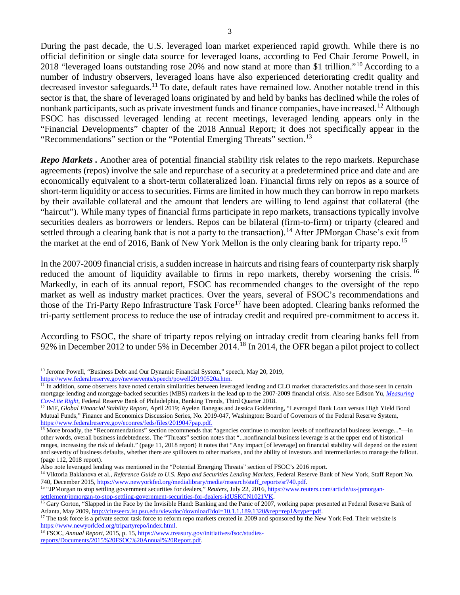During the past decade, the U.S. leveraged loan market experienced rapid growth. While there is no official definition or single data source for leveraged loans, according to Fed Chair Jerome Powell, in 2018 "leveraged loans outstanding rose 20% and now stand at more than \$1 trillion."[10](#page-2-0) According to a number of industry observers, leveraged loans have also experienced deteriorating credit quality and decreased investor safeguards.<sup>[11](#page-2-1)</sup> To date, default rates have remained low. Another notable trend in this sector is that, the share of leveraged loans originated by and held by banks has declined while the roles of nonbank participants, such as private investment funds and finance companies, have increased.<sup>[12](#page-2-2)</sup> Although FSOC has discussed leveraged lending at recent meetings, leveraged lending appears only in the "Financial Developments" chapter of the 2018 Annual Report; it does not specifically appear in the "Recommendations" section or the "Potential Emerging Threats" section.<sup>[13](#page-2-3)</sup>

*Repo Markets .* Another area of potential financial stability risk relates to the repo markets. Repurchase agreements (repos) involve the sale and repurchase of a security at a predetermined price and date and are economically equivalent to a short-term collateralized loan. Financial firms rely on repos as a source of short-term liquidity or access to securities. Firms are limited in how much they can borrow in repo markets by their available collateral and the amount that lenders are willing to lend against that collateral (the "haircut"). While many types of financial firms participate in repo markets, transactions typically involve securities dealers as borrowers or lenders. Repos can be bilateral (firm-to-firm) or triparty (cleared and settled through a clearing bank that is not a party to the transaction).<sup>[14](#page-2-4)</sup> After JPMorgan Chase's exit from the market at the end of 2016, Bank of New York Mellon is the only clearing bank for triparty repo.<sup>[15](#page-2-5)</sup>

In the 2007-2009 financial crisis, a sudden increase in haircuts and rising fears of counterparty risk sharply reduced the amount of liquidity available to firms in repo markets, thereby worsening the crisis.<sup>[16](#page-2-6)</sup> Markedly, in each of its annual report, FSOC has recommended changes to the oversight of the repo market as well as industry market practices. Over the years, several of FSOC's recommendations and those of the Tri-Party Repo Infrastructure Task Force<sup>[17](#page-2-7)</sup> have been adopted. Clearing banks reformed the tri-party settlement process to reduce the use of intraday credit and required pre-commitment to access it.

According to FSOC, the share of triparty repos relying on intraday credit from clearing banks fell from 92% in December 2012 to under 5% in December 2014.[18](#page-2-8) In 2014, the OFR began a pilot project to collect

<span id="page-2-0"></span><sup>&</sup>lt;sup>10</sup> Jerome Powell, "Business Debt and Our Dynamic Financial System," speech, May 20, 2019, [https://www.federalreserve.gov/newsevents/speech/powell20190520a.htm.](https://www.federalreserve.gov/newsevents/speech/powell20190520a.htm)

<span id="page-2-1"></span> $\overline{11}$  In addition, some observers have noted certain similarities between leveraged lending and CLO market characteristics and those seen in certain mortgage lending and mortgage-backed securities (MBS) markets in the lead up to the 2007-2009 financial crisis. Also see Edison Yu, *[Measuring](https://www.philadelphiafed.org/-/media/research-and-data/publications/banking-trends/2018/bt-cov_lite.pdf?la=en)  [Cov-Lite Right](https://www.philadelphiafed.org/-/media/research-and-data/publications/banking-trends/2018/bt-cov_lite.pdf?la=en)*, Federal Reserve Bank of Philadelphia, Banking Trends, Third Quarter 2018.

<span id="page-2-2"></span><sup>&</sup>lt;sup>12</sup> IMF, *Global Financial Stability Report*, April 2019; Ayelen Banegas and Jessica Goldenring, "Leveraged Bank Loan versus High Yield Bond Mutual Funds," Finance and Economics Discussion Series, No. 2019-047, Washington: Board of Governors of the Federal Reserve System, [https://www.federalreserve.gov/econres/feds/files/2019047pap.pdf.](https://www.federalreserve.gov/econres/feds/files/2019047pap.pdf)

<span id="page-2-3"></span><sup>&</sup>lt;sup>13</sup> More broadly, the "Recommendations" section recommends that "agencies continue to monitor levels of nonfinancial business leverage..."—in other words, overall business indebtedness. The "Threats" section notes that "...nonfinancial business leverage is at the upper end of historical ranges, increasing the risk of default." (page 11, 2018 report) It notes that "Any impact [of leverage] on financial stability will depend on the extent and severity of business defaults, whether there are spillovers to other markets, and the ability of investors and intermediaries to manage the fallout. (page 112, 2018 report).

Also note leveraged lending was mentioned in the "Potential Emerging Threats" section of FSOC's 2016 report.

<span id="page-2-4"></span><sup>&</sup>lt;sup>14</sup> Viktoria Baklanova et al., *Reference Guide to U.S. Repo and Securities Lending Markets*, Federal Reserve Bank of New York, Staff Report No. 740, December 2015[, https://www.newyorkfed.org/medialibrary/media/research/staff\\_reports/sr740.pdf.](https://www.newyorkfed.org/medialibrary/media/research/staff_reports/sr740.pdf)

<span id="page-2-5"></span><sup>&</sup>lt;sup>15</sup> "JPMorgan to stop settling government securities for dealers," *Reuters*, July 22, 2016[, https://www.reuters.com/article/us-jpmorgan](https://www.reuters.com/article/us-jpmorgan-settlement/jpmorgan-to-stop-settling-government-securities-for-dealers-idUSKCN1021VK)[settlement/jpmorgan-to-stop-settling-government-securities-for-dealers-idUSKCN1021VK.](https://www.reuters.com/article/us-jpmorgan-settlement/jpmorgan-to-stop-settling-government-securities-for-dealers-idUSKCN1021VK)

<span id="page-2-6"></span><sup>&</sup>lt;sup>16</sup> Gary Gorton, "Slapped in the Face by the Invisible Hand: Banking and the Panic of 2007, working paper presented at Federal Reserve Bank of Atlanta, May 2009[, http://citeseerx.ist.psu.edu/viewdoc/download?doi=10.1.1.189.1320&rep=rep1&type=pdf.](http://citeseerx.ist.psu.edu/viewdoc/download?doi=10.1.1.189.1320&rep=rep1&type=pdf)

<span id="page-2-7"></span><sup>&</sup>lt;sup>17</sup> The task force is a private sector task force to reform repo markets created in 2009 and sponsored by the New York Fed. Their website is [https://www.newyorkfed.org/tripartyrepo/index.html.](https://www.newyorkfed.org/tripartyrepo/index.html)

<span id="page-2-8"></span><sup>18</sup> FSOC, *Annual Report*, 2015, p. 15[, https://www.treasury.gov/initiatives/fsoc/studies](https://www.treasury.gov/initiatives/fsoc/studies-reports/Documents/2015%20FSOC%20Annual%20Report.pdf)[reports/Documents/2015%20FSOC%20Annual%20Report.pdf.](https://www.treasury.gov/initiatives/fsoc/studies-reports/Documents/2015%20FSOC%20Annual%20Report.pdf)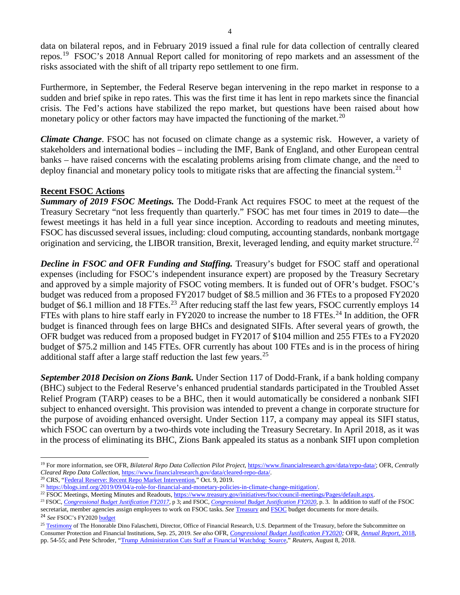data on bilateral repos, and in February 2019 issued a final rule for data collection of centrally cleared repos.[19](#page-3-0) FSOC's 2018 Annual Report called for monitoring of repo markets and an assessment of the risks associated with the shift of all triparty repo settlement to one firm.

Furthermore, in September, the Federal Reserve began intervening in the repo market in response to a sudden and brief spike in repo rates. This was the first time it has lent in repo markets since the financial crisis. The Fed's actions have stabilized the repo market, but questions have been raised about how monetary policy or other factors may have impacted the functioning of the market.<sup>[20](#page-3-1)</sup>

*Climate Change*. FSOC has not focused on climate change as a systemic risk. However, a variety of stakeholders and international bodies – including the IMF, Bank of England, and other European central banks – have raised concerns with the escalating problems arising from climate change, and the need to deploy financial and monetary policy tools to mitigate risks that are affecting the financial system.<sup>[21](#page-3-2)</sup>

## **Recent FSOC Actions**

*Summary of 2019 FSOC Meetings.* The Dodd-Frank Act requires FSOC to meet at the request of the Treasury Secretary "not less frequently than quarterly." FSOC has met four times in 2019 to date—the fewest meetings it has held in a full year since inception. According to readouts and meeting minutes, FSOC has discussed several issues, including: cloud computing, accounting standards, nonbank mortgage origination and servicing, the LIBOR transition, Brexit, leveraged lending, and equity market structure.<sup>[22](#page-3-3)</sup>

*Decline in FSOC and OFR Funding and Staffing.* Treasury's budget for FSOC staff and operational expenses (including for FSOC's independent insurance expert) are proposed by the Treasury Secretary and approved by a simple majority of FSOC voting members. It is funded out of OFR's budget. FSOC's budget was reduced from a proposed FY2017 budget of \$8.5 million and 36 FTEs to a proposed FY2020 budget of \$6.1 million and 18 FTEs.<sup>[23](#page-3-4)</sup> After reducing staff the last few years, FSOC currently employs 14 FTEs with plans to hire staff early in FY2020 to increase the number to 18 FTEs.<sup>[24](#page-3-5)</sup> In addition, the OFR budget is financed through fees on large BHCs and designated SIFIs. After several years of growth, the OFR budget was reduced from a proposed budget in FY2017 of \$104 million and 255 FTEs to a FY2020 budget of \$75.2 million and 145 FTEs. OFR currently has about 100 FTEs and is in the process of hiring additional staff after a large staff reduction the last few years.<sup>[25](#page-3-6)</sup>

*September 2018 Decision on Zions Bank.* Under Section 117 of Dodd-Frank, if a bank holding company (BHC) subject to the Federal Reserve's enhanced prudential standards participated in the Troubled Asset Relief Program (TARP) ceases to be a BHC, then it would automatically be considered a nonbank SIFI subject to enhanced oversight. This provision was intended to prevent a change in corporate structure for the purpose of avoiding enhanced oversight. Under Section 117, a company may appeal its SIFI status, which FSOC can overturn by a two-thirds vote including the Treasury Secretary. In April 2018, as it was in the process of eliminating its BHC, Zions Bank appealed its status as a nonbank SIFI upon completion

<span id="page-3-5"></span><sup>24</sup> See FSOC's FY2020 **budget** 

<span id="page-3-0"></span><sup>19</sup> For more information, see OFR, *Bilateral Repo Data Collection Pilot Project*, [https://www.financialresearch.gov/data/repo-data/;](https://www.financialresearch.gov/data/repo-data/) OFR, *Centrally Cleared Repo Data Collection*, [https://www.financialresearch.gov/data/cleared-repo-data/.](https://www.financialresearch.gov/data/cleared-repo-data/)

<span id="page-3-1"></span><sup>&</sup>lt;sup>20</sup> CRS, ["Federal Reserve: Recent Repo Market Intervention,](https://www.crs.gov/Reports/IN11176)" Oct. 9, 2019.<br><sup>21</sup> https://blogs.imf.org/2019/09/04/a-role-for-financial-and-monetary-policies-in-climate-change-mitigation/.

<span id="page-3-3"></span><span id="page-3-2"></span><sup>&</sup>lt;sup>22</sup> FSOC Meetings, Meeting Minutes and Readouts[, https://www.treasury.gov/initiatives/fsoc/council-meetings/Pages/default.aspx.](https://www.treasury.gov/initiatives/fsoc/council-meetings/Pages/default.aspx)<br><sup>23</sup> FSOC, *[Congressional Budget Justification FY2017](https://www.treasury.gov/about/budget-performance/CJ17/22.%20FSOC%20FY%202017%20CJ.PDF)*, p 3; and FSOC, *Congressional Budget* 

<span id="page-3-4"></span>secretariat, member agencies assign employees to work on FSOC tasks. *See* [Treasury](https://www.treasury.gov/about/budget-performance/Pages/cj-index.aspx) an[d FSOC](https://www.treasury.gov/initiatives/fsoc/governance-documents/Pages/FSOC-Budget.aspx) budget documents for more details.

<span id="page-3-6"></span><sup>&</sup>lt;sup>25</sup> [Testimony](https://financialservices.house.gov/calendar/eventsingle.aspx?EventID=404343) of The Honorable Dino Falaschetti, Director, Office of Financial Research, U.S. Department of the Treasury, before the Subcommittee on Consumer Protection and Financial Institutions, Sep. 25, 2019. *See also* OFR, *[Congressional Budget Justification FY2020;](https://home.treasury.gov/system/files/266/16.-OFR-FY-2020-CJ.pdf)* OFR, *[Annual Report](https://www.financialresearch.gov/annual-reports/files/office-of-financial-research-annual-report-2018.pdf)*, 2018, pp. 54-55; and Pete Schroder, ["Trump Administration Cuts Staff at Financial Watchdog: Source,](https://www.reuters.com/article/us-usa-ofr-cuts/trump-administration-cuts-staff-at-financial-markets-watchdog-source-idUSKBN1KT23O)" *Reuters*, August 8, 2018.